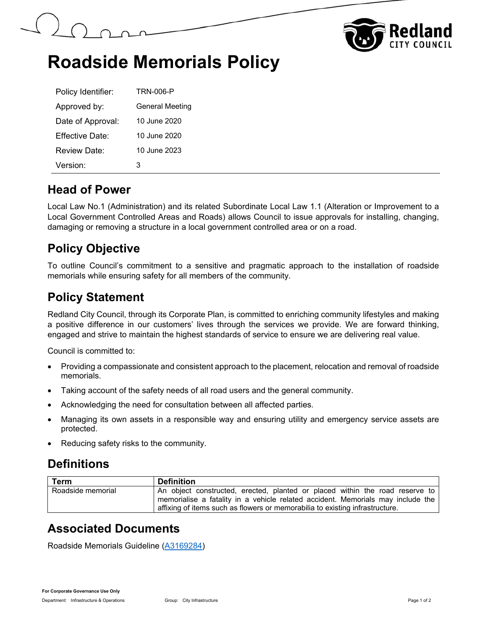



# **Roadside Memorials Policy**

| Policy Identifier:   | <b>TRN-006-P</b>       |
|----------------------|------------------------|
| Approved by:         | <b>General Meeting</b> |
| Date of Approval:    | 10 June 2020           |
| Effective Date:      | 10 June 2020           |
| Review Date:         | 10 June 2023           |
| Version <sup>-</sup> | з                      |

## **Head of Power**

Local Law No.1 (Administration) and its related Subordinate Local Law 1.1 (Alteration or Improvement to a Local Government Controlled Areas and Roads) allows Council to issue approvals for installing, changing, damaging or removing a structure in a local government controlled area or on a road.

## **Policy Objective**

To outline Council's commitment to a sensitive and pragmatic approach to the installation of roadside memorials while ensuring safety for all members of the community.

## **Policy Statement**

Redland City Council, through its Corporate Plan, is committed to enriching community lifestyles and making a positive difference in our customers' lives through the services we provide. We are forward thinking, engaged and strive to maintain the highest standards of service to ensure we are delivering real value.

Council is committed to:

- Providing a compassionate and consistent approach to the placement, relocation and removal of roadside memorials.
- Taking account of the safety needs of all road users and the general community.
- Acknowledging the need for consultation between all affected parties.
- Managing its own assets in a responsible way and ensuring utility and emergency service assets are protected.
- Reducing safety risks to the community.

## **Definitions**

| <b>Term</b>       | <b>Definition</b>                                                                                                                                                                                                                               |
|-------------------|-------------------------------------------------------------------------------------------------------------------------------------------------------------------------------------------------------------------------------------------------|
| Roadside memorial | An object constructed, erected, planted or placed within the road reserve to<br>memorialise a fatality in a vehicle related accident. Memorials may include the<br>affixing of items such as flowers or memorabilia to existing infrastructure. |

## **Associated Documents**

Roadside Memorials Guideline (A3169284)